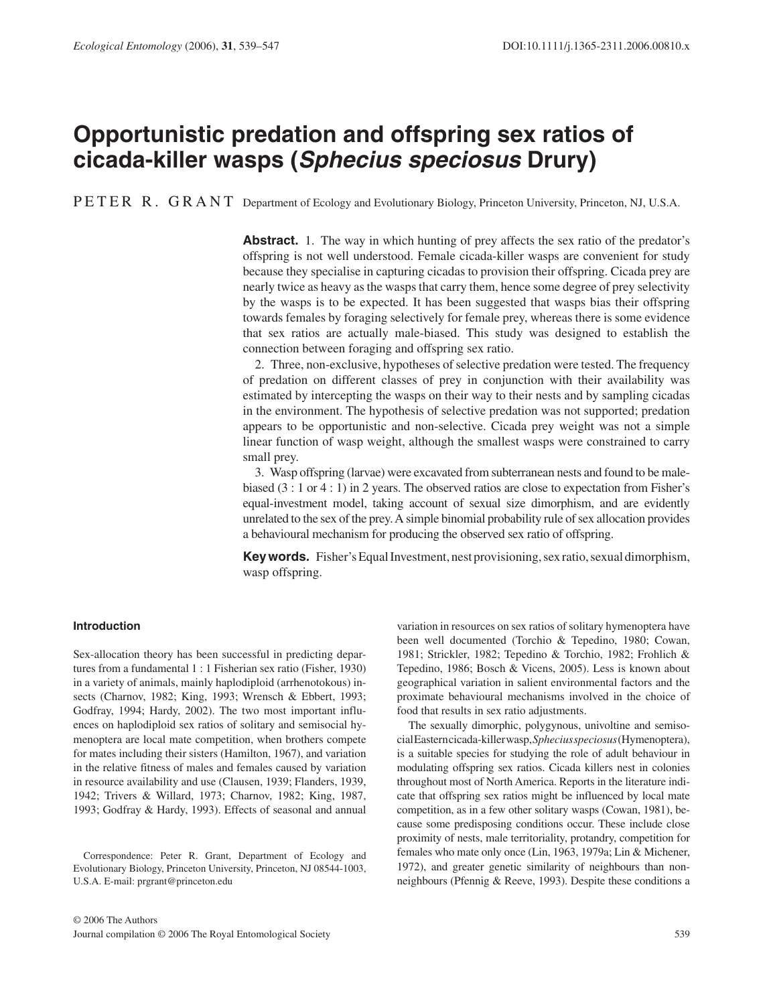# **Opportunistic predation and offspring sex ratios of cicada-killer wasps (** *Sphecius speciosus* **Drury)**

PETER R. GRANT Department of Ecology and Evolutionary Biology, Princeton University, Princeton, NJ, U.S.A.

**Abstract.** 1. The way in which hunting of prey affects the sex ratio of the predator's offspring is not well understood. Female cicada-killer wasps are convenient for study because they specialise in capturing cicadas to provision their offspring. Cicada prey are nearly twice as heavy as the wasps that carry them, hence some degree of prey selectivity by the wasps is to be expected. It has been suggested that wasps bias their offspring towards females by foraging selectively for female prey, whereas there is some evidence that sex ratios are actually male-biased. This study was designed to establish the connection between foraging and offspring sex ratio.

 2. Three, non-exclusive, hypotheses of selective predation were tested. The frequency of predation on different classes of prey in conjunction with their availability was estimated by intercepting the wasps on their way to their nests and by sampling cicadas in the environment. The hypothesis of selective predation was not supported; predation appears to be opportunistic and non-selective. Cicada prey weight was not a simple linear function of wasp weight, although the smallest wasps were constrained to carry small prey.

 3. Wasp offspring (larvae) were excavated from subterranean nests and found to be malebiased (3 : 1 or 4 : 1) in 2 years. The observed ratios are close to expectation from Fisher's equal-investment model, taking account of sexual size dimorphism, and are evidently unrelated to the sex of the prey. A simple binomial probability rule of sex allocation provides a behavioural mechanism for producing the observed sex ratio of offspring.

**Key words.** Fisher's Equal Investment, nest provisioning, sex ratio, sexual dimorphism, wasp offspring.

# **Introduction**

 Sex-allocation theory has been successful in predicting departures from a fundamental  $1:1$  Fisherian sex ratio (Fisher, 1930) in a variety of animals, mainly haplodiploid (arrhenotokous) insects (Charnov, 1982; King, 1993; Wrensch & Ebbert, 1993; Godfray, 1994; Hardy, 2002). The two most important influences on haplodiploid sex ratios of solitary and semisocial hymenoptera are local mate competition, when brothers compete for mates including their sisters (Hamilton, 1967), and variation in the relative fitness of males and females caused by variation in resource availability and use (Clausen, 1939; Flanders, 1939, 1942; Trivers & Willard, 1973; Charnov, 1982; King, 1987, 1993; Godfray & Hardy, 1993). Effects of seasonal and annual

 Correspondence: Peter R. Grant, Department of Ecology and Evolutionary Biology, Princeton University, Princeton, NJ 08544-1003, U.S.A. E-mail: prgrant@princeton.edu

proximate behavioural mechanisms involved in the choice of food that results in sex ratio adjustments. The sexually dimorphic, polygynous, univoltine and semisocial Eastern cicada-killer wasp, *Sphecius speciosus* (Hymenoptera), is a suitable species for studying the role of adult behaviour in modulating offspring sex ratios. Cicada killers nest in colonies throughout most of North America. Reports in the literature indi-

cate that offspring sex ratios might be influenced by local mate competition, as in a few other solitary wasps (Cowan, 1981), because some predisposing conditions occur. These include close proximity of nests, male territoriality, protandry, competition for females who mate only once (Lin, 1963, 1979a; Lin & Michener, 1972), and greater genetic similarity of neighbours than nonneighbours (Pfennig & Reeve, 1993). Despite these conditions a

variation in resources on sex ratios of solitary hymenoptera have been well documented (Torchio & Tepedino, 1980; Cowan, 1981; Strickler, 1982; Tepedino & Torchio, 1982; Frohlich & Tepedino, 1986; Bosch & Vicens, 2005). Less is known about geographical variation in salient environmental factors and the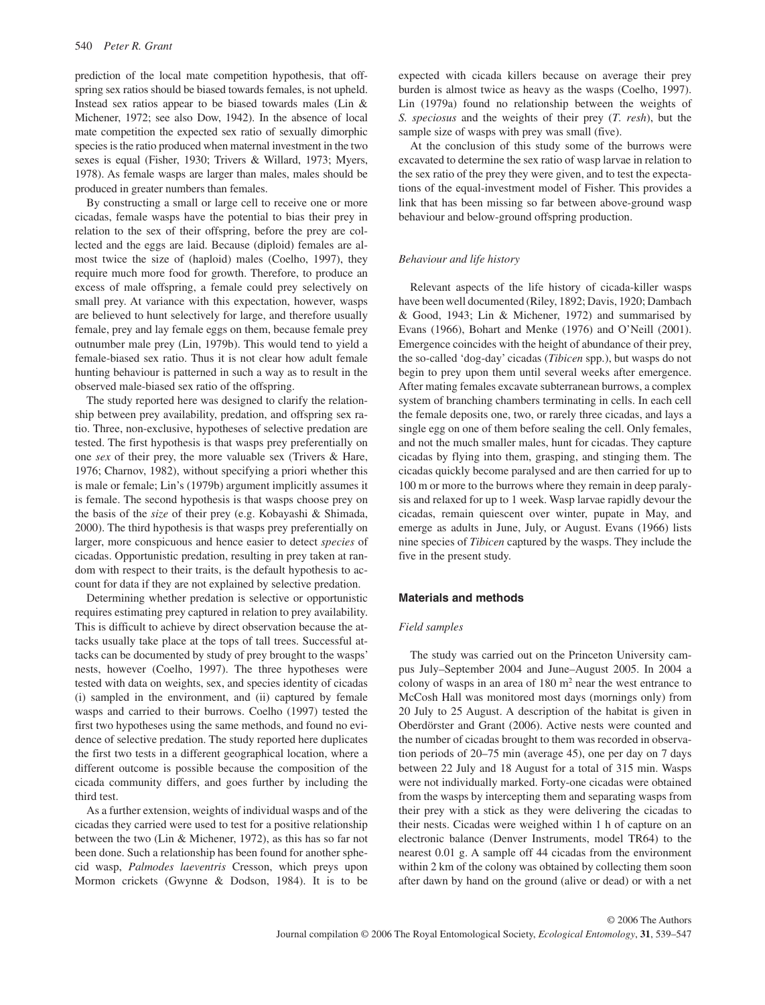prediction of the local mate competition hypothesis, that offspring sex ratios should be biased towards females, is not upheld. Instead sex ratios appear to be biased towards males ( $Lin \&$ Michener, 1972; see also Dow, 1942). In the absence of local mate competition the expected sex ratio of sexually dimorphic species is the ratio produced when maternal investment in the two sexes is equal (Fisher, 1930; Trivers & Willard, 1973; Myers, 1978 ). As female wasps are larger than males, males should be produced in greater numbers than females.

 By constructing a small or large cell to receive one or more cicadas, female wasps have the potential to bias their prey in relation to the sex of their offspring, before the prey are collected and the eggs are laid. Because (diploid) females are almost twice the size of (haploid) males (Coelho, 1997), they require much more food for growth. Therefore, to produce an excess of male offspring, a female could prey selectively on small prey. At variance with this expectation, however, wasps are believed to hunt selectively for large, and therefore usually female, prey and lay female eggs on them, because female prey outnumber male prey (Lin, 1979b). This would tend to yield a female-biased sex ratio. Thus it is not clear how adult female hunting behaviour is patterned in such a way as to result in the observed male-biased sex ratio of the offspring.

 The study reported here was designed to clarify the relationship between prey availability, predation, and offspring sex ratio. Three, non-exclusive, hypotheses of selective predation are tested. The first hypothesis is that wasps prey preferentially on one *sex* of their prey, the more valuable sex ( Trivers & Hare, 1976; Charnov, 1982), without specifying a priori whether this is male or female; Lin's (1979b) argument implicitly assumes it is female. The second hypothesis is that wasps choose prey on the basis of the *size* of their prey (e.g. Kobayashi & Shimada, 2000). The third hypothesis is that wasps prey preferentially on larger, more conspicuous and hence easier to detect *species* of cicadas. Opportunistic predation, resulting in prey taken at random with respect to their traits, is the default hypothesis to account for data if they are not explained by selective predation.

 Determining whether predation is selective or opportunistic requires estimating prey captured in relation to prey availability. This is difficult to achieve by direct observation because the attacks usually take place at the tops of tall trees. Successful attacks can be documented by study of prey brought to the wasps' nests, however (Coelho, 1997). The three hypotheses were tested with data on weights, sex, and species identity of cicadas (i) sampled in the environment, and (ii) captured by female wasps and carried to their burrows. Coelho (1997) tested the first two hypotheses using the same methods, and found no evidence of selective predation. The study reported here duplicates the first two tests in a different geographical location, where a different outcome is possible because the composition of the cicada community differs, and goes further by including the third test.

 As a further extension, weights of individual wasps and of the cicadas they carried were used to test for a positive relationship between the two (Lin & Michener, 1972), as this has so far not been done. Such a relationship has been found for another sphecid wasp, *Palmodes laeventris* Cresson, which preys upon Mormon crickets (Gwynne & Dodson, 1984). It is to be expected with cicada killers because on average their prey burden is almost twice as heavy as the wasps (Coelho, 1997). Lin (1979a) found no relationship between the weights of *S. speciosus* and the weights of their prey (*T. resh*), but the sample size of wasps with prey was small (five).

 At the conclusion of this study some of the burrows were excavated to determine the sex ratio of wasp larvae in relation to the sex ratio of the prey they were given, and to test the expectations of the equal-investment model of Fisher. This provides a link that has been missing so far between above-ground wasp behaviour and below-ground offspring production.

#### *Behaviour and life history*

 Relevant aspects of the life history of cicada-killer wasps have been well documented (Riley, 1892; Davis, 1920; Dambach & Good, 1943; Lin & Michener, 1972 ) and summarised by Evans (1966), Bohart and Menke (1976) and O'Neill (2001) . Emergence coincides with the height of abundance of their prey, the so-called 'dog-day' cicadas ( *Tibicen* spp.), but wasps do not begin to prey upon them until several weeks after emergence. After mating females excavate subterranean burrows, a complex system of branching chambers terminating in cells. In each cell the female deposits one, two, or rarely three cicadas, and lays a single egg on one of them before sealing the cell. Only females, and not the much smaller males, hunt for cicadas. They capture cicadas by flying into them, grasping, and stinging them. The cicadas quickly become paralysed and are then carried for up to 100 m or more to the burrows where they remain in deep paralysis and relaxed for up to 1 week. Wasp larvae rapidly devour the cicadas, remain quiescent over winter, pupate in May, and emerge as adults in June, July, or August. Evans (1966) lists nine species of *Tibicen* captured by the wasps. They include the five in the present study.

#### **Materials and methods**

## *Field samples*

 The study was carried out on the Princeton University campus July – September 2004 and June – August 2005. In 2004 a colony of wasps in an area of  $180 \text{ m}^2$  near the west entrance to McCosh Hall was monitored most days (mornings only) from 20 July to 25 August. A description of the habitat is given in Oberdörster and Grant (2006) . Active nests were counted and the number of cicadas brought to them was recorded in observation periods of  $20-75$  min (average 45), one per day on 7 days between 22 July and 18 August for a total of 315 min. Wasps were not individually marked. Forty-one cicadas were obtained from the wasps by intercepting them and separating wasps from their prey with a stick as they were delivering the cicadas to their nests. Cicadas were weighed within 1 h of capture on an electronic balance (Denver Instruments, model TR64) to the nearest 0.01 g. A sample off 44 cicadas from the environment within 2 km of the colony was obtained by collecting them soon after dawn by hand on the ground (alive or dead) or with a net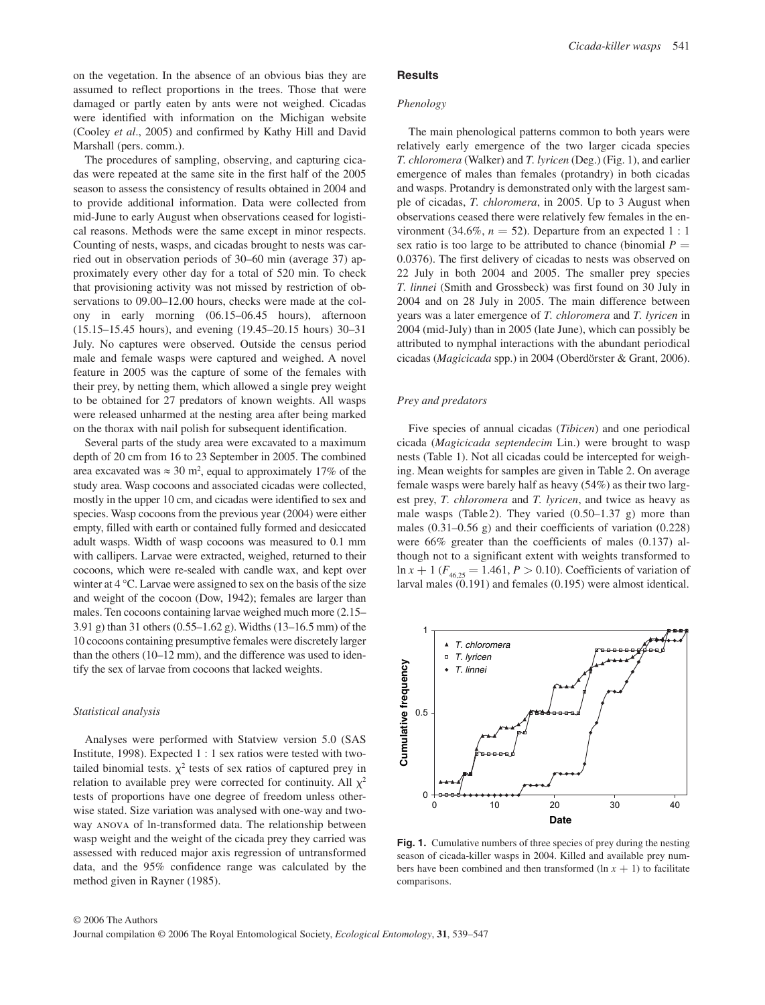on the vegetation. In the absence of an obvious bias they are assumed to reflect proportions in the trees. Those that were damaged or partly eaten by ants were not weighed. Cicadas were identified with information on the Michigan website (Cooley et al., 2005) and confirmed by Kathy Hill and David Marshall (pers. comm.).

 The procedures of sampling, observing, and capturing cicadas were repeated at the same site in the first half of the 2005 season to assess the consistency of results obtained in 2004 and to provide additional information. Data were collected from mid-June to early August when observations ceased for logistical reasons. Methods were the same except in minor respects. Counting of nests, wasps, and cicadas brought to nests was carried out in observation periods of 30–60 min (average 37) approximately every other day for a total of 520 min. To check that provisioning activity was not missed by restriction of observations to 09.00–12.00 hours, checks were made at the colony in early morning (06.15–06.45 hours), afternoon (15.15–15.45 hours), and evening (19.45–20.15 hours) 30–31 July. No captures were observed. Outside the census period male and female wasps were captured and weighed. A novel feature in 2005 was the capture of some of the females with their prey, by netting them, which allowed a single prey weight to be obtained for 27 predators of known weights. All wasps were released unharmed at the nesting area after being marked on the thorax with nail polish for subsequent identification.

 Several parts of the study area were excavated to a maximum depth of 20 cm from 16 to 23 September in 2005. The combined area excavated was  $\approx 30$  m<sup>2</sup>, equal to approximately 17% of the study area. Wasp cocoons and associated cicadas were collected, mostly in the upper 10 cm, and cicadas were identified to sex and species. Wasp cocoons from the previous year (2004) were either empty, filled with earth or contained fully formed and desiccated adult wasps. Width of wasp cocoons was measured to 0.1 mm with callipers. Larvae were extracted, weighed, returned to their cocoons, which were re-sealed with candle wax, and kept over winter at 4 °C. Larvae were assigned to sex on the basis of the size and weight of the cocoon (Dow, 1942); females are larger than males. Ten cocoons containing larvae weighed much more  $(2.15 -$ 3.91 g) than 31 others (0.55–1.62 g). Widths (13–16.5 mm) of the 10 cocoons containing presumptive females were discretely larger than the others  $(10-12 \text{ mm})$ , and the difference was used to identify the sex of larvae from cocoons that lacked weights.

## *Statistical analysis*

Analyses were performed with Statview version 5.0 (SAS Institute, 1998). Expected  $1:1$  sex ratios were tested with twotailed binomial tests.  $\chi^2$  tests of sex ratios of captured prey in relation to available prey were corrected for continuity. All  $\chi^2$ tests of proportions have one degree of freedom unless otherwise stated. Size variation was analysed with one-way and twoway anova of ln-transformed data. The relationship between wasp weight and the weight of the cicada prey they carried was assessed with reduced major axis regression of untransformed data, and the 95% confidence range was calculated by the method given in Rayner (1985) .

#### **Results**

## *Phenology*

 The main phenological patterns common to both years were relatively early emergence of the two larger cicada species *T. chloromera* (Walker) and *T. lyricen* (Deg.) ( Fig. 1), and earlier emergence of males than females (protandry) in both cicadas and wasps. Protandry is demonstrated only with the largest sample of cicadas, *T. chloromera*, in 2005. Up to 3 August when observations ceased there were relatively few females in the environment (34.6%,  $n = 52$ ). Departure from an expected 1 : 1 sex ratio is too large to be attributed to chance (binomial  $P =$ 0.0376). The first delivery of cicadas to nests was observed on 22 July in both 2004 and 2005. The smaller prey species *T. linnei* (Smith and Grossbeck) was first found on 30 July in 2004 and on 28 July in 2005. The main difference between years was a later emergence of *T. chloromera* and *T. lyricen* in 2004 (mid-July) than in 2005 (late June), which can possibly be attributed to nymphal interactions with the abundant periodical cicadas ( *Magicicada* spp.) in 2004 ( Oberdörster & Grant, 2006 ).

# *Prey and predators*

Five species of annual cicadas (*Tibicen*) and one periodical cicada ( *Magicicada septendecim* Lin.) were brought to wasp nests (Table 1). Not all cicadas could be intercepted for weighing. Mean weights for samples are given in Table 2. On average female wasps were barely half as heavy (54%) as their two largest prey, *T. chloromera* and *T. lyricen*, and twice as heavy as male wasps (Table 2). They varied  $(0.50-1.37 \text{ g})$  more than males  $(0.31 - 0.56 \text{ g})$  and their coefficients of variation  $(0.228)$ were 66% greater than the coefficients of males (0.137) although not to a significant extent with weights transformed to  $\ln x + 1$  ( $F_{46,25} = 1.461, P > 0.10$ ). Coefficients of variation of larval males (0.191) and females (0.195) were almost identical.



**Fig. 1.** Cumulative numbers of three species of prey during the nesting season of cicada-killer wasps in 2004. Killed and available prey numbers have been combined and then transformed  $(\ln x + 1)$  to facilitate comparisons.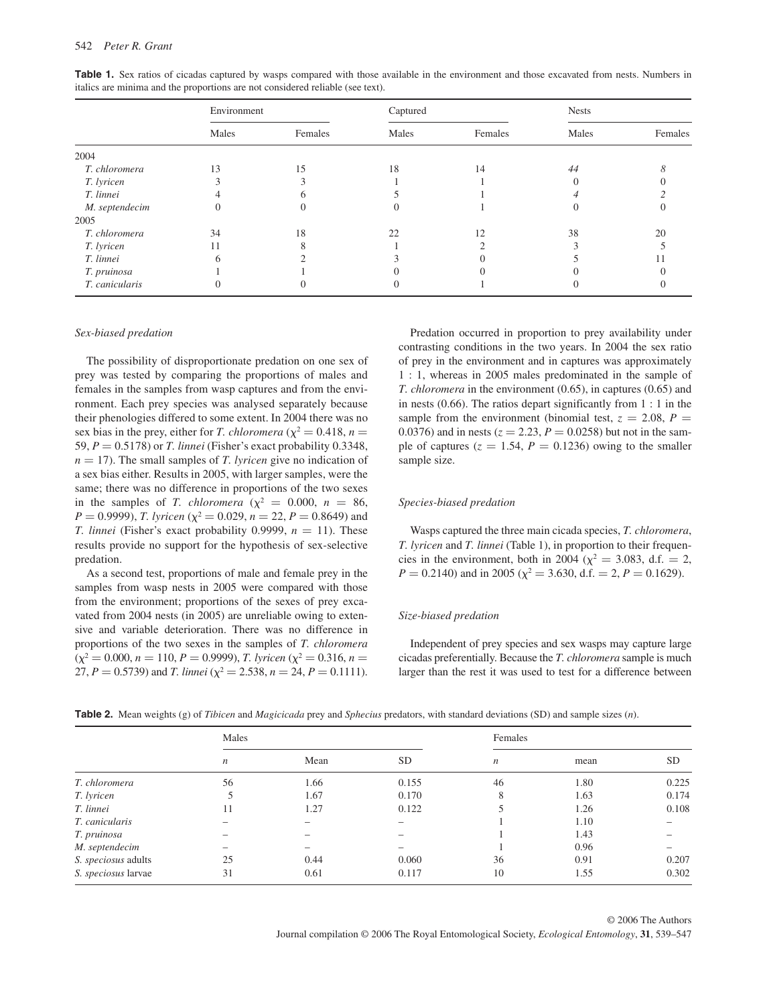|                | Environment |         | Captured |         | <b>Nests</b> |         |
|----------------|-------------|---------|----------|---------|--------------|---------|
|                | Males       | Females | Males    | Females | Males        | Females |
| 2004           |             |         |          |         |              |         |
| T. chloromera  | 13          | 15      | 18       | 14      | 44           |         |
| T. lyricen     |             |         |          |         |              |         |
| T. linnei      |             | n       |          |         |              |         |
| M. septendecim |             |         |          |         |              |         |
| 2005           |             |         |          |         |              |         |
| T. chloromera  | 34          | 18      | 22       | 12      | 38           | 20      |
| T. lyricen     | 11          |         |          |         |              |         |
| T. linnei      |             |         |          |         |              |         |
| T. pruinosa    |             |         |          |         |              |         |
| T. canicularis |             |         |          |         |              |         |

Table 1. Sex ratios of cicadas captured by wasps compared with those available in the environment and those excavated from nests. Numbers in italics are minima and the proportions are not considered reliable (see text).

#### *Sex-biased predation*

 The possibility of disproportionate predation on one sex of prey was tested by comparing the proportions of males and females in the samples from wasp captures and from the environment. Each prey species was analysed separately because their phenologies differed to some extent. In 2004 there was no sex bias in the prey, either for *T. chloromera* ( $\chi^2 = 0.418$ , *n* = 59, *P* = 0.5178) or *T. linnei* (Fisher's exact probability 0.3348,  $n = 17$ ). The small samples of *T. lyricen* give no indication of a sex bias either. Results in 2005, with larger samples, were the same; there was no difference in proportions of the two sexes in the samples of *T. chloromera* ( $\chi^2$  = 0.000, *n* = 86, *P* = 0.9999), *T. lyricen* ( $\chi^2$  = 0.029, *n* = 22, *P* = 0.8649) and *T. linnei* (Fisher's exact probability 0.9999,  $n = 11$ ). These results provide no support for the hypothesis of sex-selective predation.

 As a second test, proportions of male and female prey in the samples from wasp nests in 2005 were compared with those from the environment; proportions of the sexes of prey excavated from 2004 nests (in 2005) are unreliable owing to extensive and variable deterioration. There was no difference in proportions of the two sexes in the samples of *T. chloromera*  $(\chi^2 = 0.000, n = 110, P = 0.9999), T.$  lyricen  $(\chi^2 = 0.316, n = 110)$ 27,  $P = 0.5739$ ) and *T. linnei* ( $\chi^2 = 2.538$ ,  $n = 24$ ,  $P = 0.1111$ ).

 Predation occurred in proportion to prey availability under contrasting conditions in the two years. In 2004 the sex ratio of prey in the environment and in captures was approximately 1 : 1, whereas in 2005 males predominated in the sample of *T. chloromera* in the environment (0.65), in captures (0.65) and in nests (0.66). The ratios depart significantly from 1 : 1 in the sample from the environment (binomial test,  $z = 2.08$ ,  $P =$ 0.0376) and in nests ( $z = 2.23$ ,  $P = 0.0258$ ) but not in the sample of captures ( $z = 1.54$ ,  $P = 0.1236$ ) owing to the smaller sample size.

# *Species-biased predation*

 Wasps captured the three main cicada species, *T. chloromera* , *T. lyricen* and *T. linnei* (Table 1), in proportion to their frequencies in the environment, both in 2004 ( $\chi^2 = 3.083$ , d.f. = 2,  $P = 0.2140$ ) and in 2005 ( $\chi^2 = 3.630$ , d.f. = 2,  $P = 0.1629$ ).

### *Size-biased predation*

 Independent of prey species and sex wasps may capture large cicadas preferentially. Because the *T. chloromera* sample is much larger than the rest it was used to test for a difference between

|  |  |  |  |  | <b>Table 2.</b> Mean weights (g) of <i>Tibicen</i> and <i>Magicicada</i> prey and <i>Sphecius</i> predators, with standard deviations (SD) and sample sizes (n). |
|--|--|--|--|--|------------------------------------------------------------------------------------------------------------------------------------------------------------------|
|--|--|--|--|--|------------------------------------------------------------------------------------------------------------------------------------------------------------------|

|                     | Males            |      |                 | Females          |      |           |
|---------------------|------------------|------|-----------------|------------------|------|-----------|
|                     | $\boldsymbol{n}$ | Mean | <b>SD</b>       | $\boldsymbol{n}$ | mean | <b>SD</b> |
| T. chloromera       | 56               | 1.66 | 0.155           | 46               | 1.80 | 0.225     |
| T. lyricen          |                  | 1.67 | 0.170           | 8                | 1.63 | 0.174     |
| T. linnei           | 11               | 1.27 | 0.122           |                  | 1.26 | 0.108     |
| T. canicularis      |                  |      | $\qquad \qquad$ |                  | 1.10 |           |
| T. pruinosa         |                  |      |                 |                  | 1.43 |           |
| M. septendecim      |                  |      |                 |                  | 0.96 |           |
| S. speciosus adults | 25               | 0.44 | 0.060           | 36               | 0.91 | 0.207     |
| S. speciosus larvae | 31               | 0.61 | 0.117           | 10               | 1.55 | 0.302     |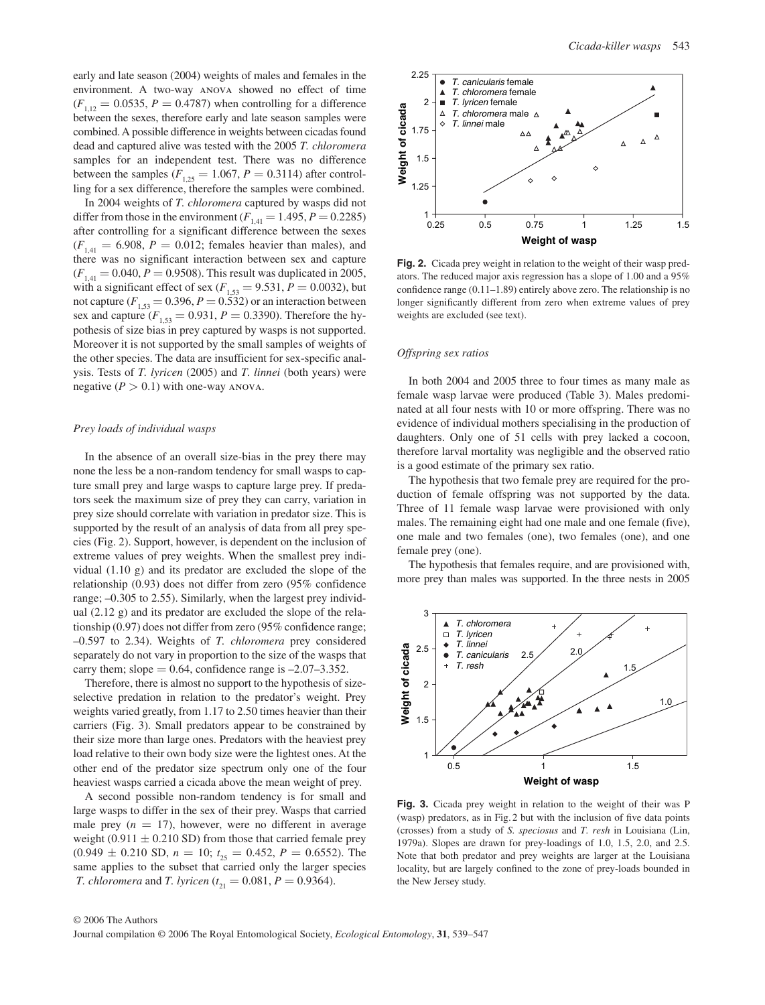early and late season (2004) weights of males and females in the environment. A two-way anova showed no effect of time  $(F_{1,12} = 0.0535, P = 0.4787)$  when controlling for a difference between the sexes, therefore early and late season samples were combined. A possible difference in weights between cicadas found dead and captured alive was tested with the 2005 *T. chloromera* samples for an independent test. There was no difference between the samples  $(F_{1,25} = 1.067, P = 0.3114)$  after controlling for a sex difference, therefore the samples were combined.

 In 2004 weights of *T. chloromera* captured by wasps did not differ from those in the environment  $(F_{1,41} = 1.495, P = 0.2285)$ after controlling for a significant difference between the sexes  $(F_{141} = 6.908, P = 0.012$ ; females heavier than males), and there was no significant interaction between sex and capture  $(F_{1,41} = 0.040, P = 0.9508)$ . This result was duplicated in 2005, with a significant effect of sex ( $F_{1,53} = 9.531, P = 0.0032$ ), but not capture  $(F_{1,53} = 0.396, P = 0.532)$  or an interaction between sex and capture  $(F_{1,53} = 0.931, P = 0.3390)$ . Therefore the hypothesis of size bias in prey captured by wasps is not supported. Moreover it is not supported by the small samples of weights of the other species. The data are insufficient for sex-specific analysis. Tests of *T. lyricen* (2005) and *T. linnei* (both years) were negative  $(P > 0.1)$  with one-way ANOVA.

# *Prey loads of individual wasps*

 In the absence of an overall size-bias in the prey there may none the less be a non-random tendency for small wasps to capture small prey and large wasps to capture large prey. If predators seek the maximum size of prey they can carry, variation in prey size should correlate with variation in predator size. This is supported by the result of an analysis of data from all prey species ( Fig. 2). Support, however, is dependent on the inclusion of extreme values of prey weights. When the smallest prey individual (1.10 g) and its predator are excluded the slope of the relationship (0.93) does not differ from zero (95% confidence range;  $-0.305$  to 2.55). Similarly, when the largest prey individual (2.12 g) and its predator are excluded the slope of the relationship (0.97) does not differ from zero (95% confidence range; – 0.597 to 2.34). Weights of *T. chloromera* prey considered separately do not vary in proportion to the size of the wasps that carry them; slope  $= 0.64$ , confidence range is  $-2.07-3.352$ .

 Therefore, there is almost no support to the hypothesis of sizeselective predation in relation to the predator's weight. Prey weights varied greatly, from 1.17 to 2.50 times heavier than their carriers (Fig. 3). Small predators appear to be constrained by their size more than large ones. Predators with the heaviest prey load relative to their own body size were the lightest ones. At the other end of the predator size spectrum only one of the four heaviest wasps carried a cicada above the mean weight of prey.

 A second possible non-random tendency is for small and large wasps to differ in the sex of their prey. Wasps that carried male prey  $(n = 17)$ , however, were no different in average weight (0.911  $\pm$  0.210 SD) from those that carried female prey  $(0.949 \pm 0.210$  SD,  $n = 10$ ;  $t_{25} = 0.452$ ,  $P = 0.6552$ ). The same applies to the subset that carried only the larger species *T. chloromera* and *T. lyricen* ( $t_{21} = 0.081$ ,  $P = 0.9364$ ).



**Fig. 2.** Cicada prey weight in relation to the weight of their wasp predators. The reduced major axis regression has a slope of 1.00 and a 95% confidence range  $(0.11-1.89)$  entirely above zero. The relationship is no longer significantly different from zero when extreme values of prey weights are excluded (see text).

## *Offspring sex ratios*

 In both 2004 and 2005 three to four times as many male as female wasp larvae were produced (Table 3). Males predominated at all four nests with 10 or more offspring. There was no evidence of individual mothers specialising in the production of daughters. Only one of 51 cells with prey lacked a cocoon, therefore larval mortality was negligible and the observed ratio is a good estimate of the primary sex ratio.

 The hypothesis that two female prey are required for the production of female offspring was not supported by the data. Three of 11 female wasp larvae were provisioned with only males. The remaining eight had one male and one female (five), one male and two females (one), two females (one), and one female prey (one).

 The hypothesis that females require, and are provisioned with, more prey than males was supported. In the three nests in 2005



**Fig. 3.** Cicada prey weight in relation to the weight of their was P (wasp) predators, as in Fig.  $2$  but with the inclusion of five data points (crosses) from a study of *S. speciosus* and *T. resh* in Louisiana (Lin, 1979a). Slopes are drawn for prey-loadings of 1.0, 1.5, 2.0, and  $2.5$ . Note that both predator and prey weights are larger at the Louisiana locality, but are largely confined to the zone of prey-loads bounded in the New Jersey study.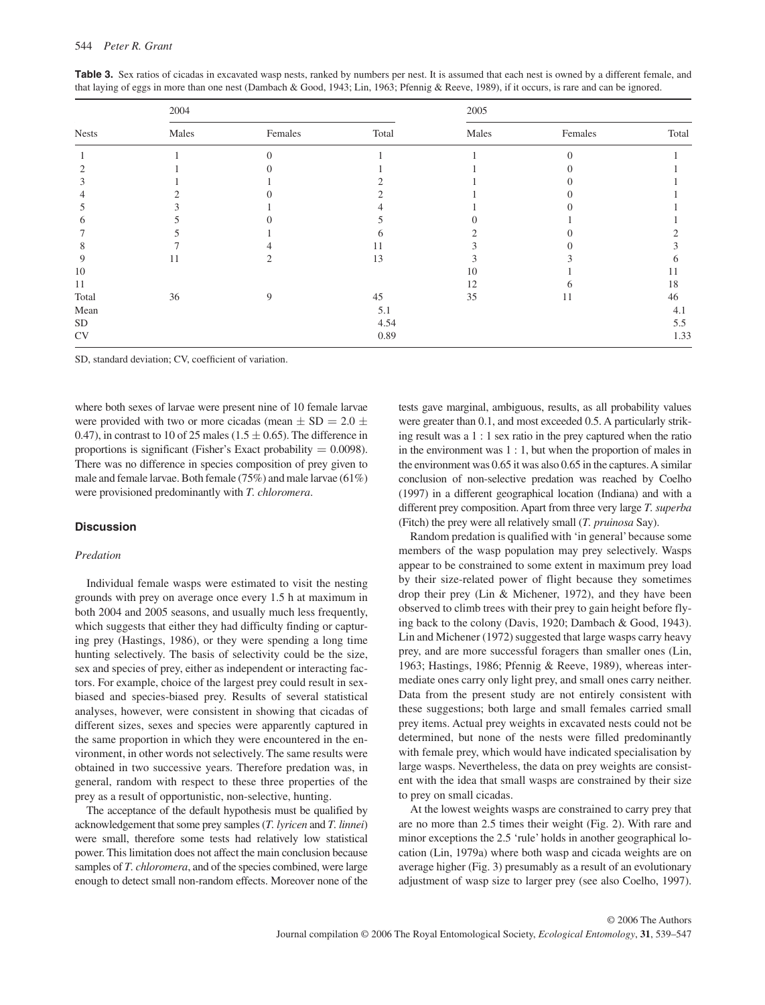| <b>Nests</b> | 2004  |         |       | 2005  |         |       |  |
|--------------|-------|---------|-------|-------|---------|-------|--|
|              | Males | Females | Total | Males | Females | Total |  |
|              |       |         |       |       |         |       |  |
|              |       |         |       |       |         |       |  |
|              |       |         |       |       |         |       |  |
|              |       |         |       |       |         |       |  |
|              |       |         |       |       |         |       |  |
|              |       |         |       |       |         |       |  |
|              |       |         |       |       |         |       |  |
|              |       |         |       |       |         |       |  |
| 9            | 11    |         | 13    |       |         |       |  |
| 10           |       |         |       | 10    |         | 11    |  |
| 11           |       |         |       | 12    |         | 18    |  |
| Total        | 36    | 9       | 45    | 35    | 11      | 46    |  |
| Mean         |       |         | 5.1   |       |         | 4.1   |  |
| SD           |       |         | 4.54  |       |         | 5.5   |  |
| CV           |       |         | 0.89  |       |         | 1.33  |  |

Table 3. Sex ratios of cicadas in excavated wasp nests, ranked by numbers per nest. It is assumed that each nest is owned by a different female, and that laying of eggs in more than one nest ( Dambach & Good, 1943; Lin, 1963; Pfennig & Reeve, 1989 ), if it occurs, is rare and can be ignored.

SD, standard deviation; CV, coefficient of variation.

where both sexes of larvae were present nine of 10 female larvae were provided with two or more cicadas (mean  $\pm$  SD = 2.0  $\pm$ 0.47), in contrast to 10 of 25 males (1.5  $\pm$  0.65). The difference in proportions is significant (Fisher's Exact probability  $= 0.0098$ ). There was no difference in species composition of prey given to male and female larvae. Both female (75%) and male larvae (61%) were provisioned predominantly with *T. chloromera* .

# **Discussion**

#### *Predation*

 Individual female wasps were estimated to visit the nesting grounds with prey on average once every 1.5 h at maximum in both 2004 and 2005 seasons, and usually much less frequently, which suggests that either they had difficulty finding or capturing prey (Hastings, 1986), or they were spending a long time hunting selectively. The basis of selectivity could be the size, sex and species of prey, either as independent or interacting factors. For example, choice of the largest prey could result in sexbiased and species-biased prey. Results of several statistical analyses, however, were consistent in showing that cicadas of different sizes, sexes and species were apparently captured in the same proportion in which they were encountered in the environment, in other words not selectively. The same results were obtained in two successive years. Therefore predation was, in general, random with respect to these three properties of the prey as a result of opportunistic, non-selective, hunting.

 The acceptance of the default hypothesis must be qualified by acknowledgement that some prey samples (*T. lyricen* and *T. linnei*) were small, therefore some tests had relatively low statistical power. This limitation does not affect the main conclusion because samples of *T. chloromera*, and of the species combined, were large enough to detect small non-random effects. Moreover none of the tests gave marginal, ambiguous, results, as all probability values were greater than 0.1, and most exceeded 0.5. A particularly striking result was a 1 : 1 sex ratio in the prey captured when the ratio in the environment was 1 : 1, but when the proportion of males in the environment was 0.65 it was also 0.65 in the captures. A similar conclusion of non-selective predation was reached by Coelho (1997) in a different geographical location (Indiana) and with a different prey composition. Apart from three very large *T. superba* (Fitch) the prey were all relatively small (*T. pruinosa* Say).

 Random predation is qualified with 'in general' because some members of the wasp population may prey selectively. Wasps appear to be constrained to some extent in maximum prey load by their size-related power of flight because they sometimes drop their prey (Lin & Michener, 1972), and they have been observed to climb trees with their prey to gain height before flying back to the colony (Davis, 1920; Dambach & Good, 1943). Lin and Michener (1972) suggested that large wasps carry heavy prey, and are more successful foragers than smaller ones (Lin, 1963; Hastings, 1986; Pfennig & Reeve, 1989), whereas intermediate ones carry only light prey, and small ones carry neither. Data from the present study are not entirely consistent with these suggestions; both large and small females carried small prey items. Actual prey weights in excavated nests could not be determined, but none of the nests were filled predominantly with female prey, which would have indicated specialisation by large wasps. Nevertheless, the data on prey weights are consistent with the idea that small wasps are constrained by their size to prey on small cicadas.

 At the lowest weights wasps are constrained to carry prey that are no more than 2.5 times their weight (Fig. 2). With rare and minor exceptions the 2.5 'rule' holds in another geographical location (Lin, 1979a) where both wasp and cicada weights are on average higher (Fig. 3) presumably as a result of an evolutionary adjustment of wasp size to larger prey (see also Coelho, 1997).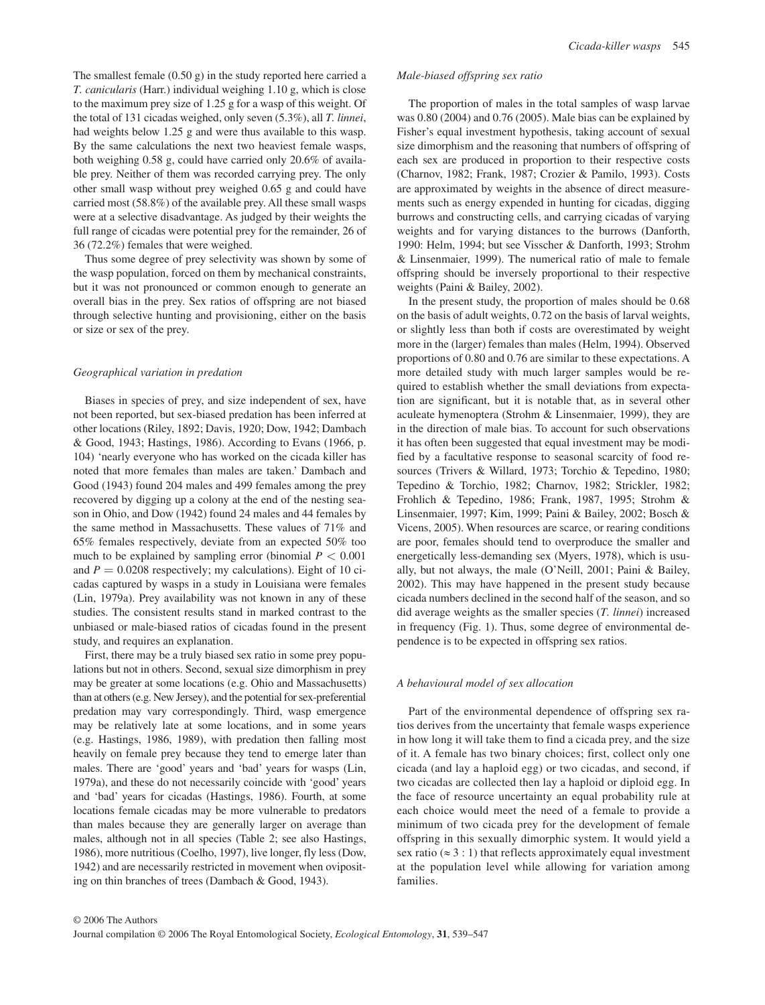The smallest female (0.50 g) in the study reported here carried a *T. canicularis* (Harr.) individual weighing 1.10 g, which is close to the maximum prey size of 1.25 g for a wasp of this weight. Of the total of 131 cicadas weighed, only seven (5.3%), all *T. linnei* , had weights below 1.25 g and were thus available to this wasp. By the same calculations the next two heaviest female wasps, both weighing 0.58 g, could have carried only 20.6% of available prey. Neither of them was recorded carrying prey. The only other small wasp without prey weighed 0.65 g and could have carried most (58.8%) of the available prey. All these small wasps were at a selective disadvantage. As judged by their weights the full range of cicadas were potential prey for the remainder, 26 of 36 (72.2%) females that were weighed.

 Thus some degree of prey selectivity was shown by some of the wasp population, forced on them by mechanical constraints, but it was not pronounced or common enough to generate an overall bias in the prey. Sex ratios of offspring are not biased through selective hunting and provisioning, either on the basis or size or sex of the prey.

## *Geographical variation in predation*

 Biases in species of prey, and size independent of sex, have not been reported, but sex-biased predation has been inferred at other locations (Riley, 1892; Davis, 1920; Dow, 1942; Dambach & Good, 1943; Hastings, 1986 ). According to Evans (1966 , p. 104) 'nearly everyone who has worked on the cicada killer has noted that more females than males are taken.' Dambach and Good (1943) found 204 males and 499 females among the prey recovered by digging up a colony at the end of the nesting season in Ohio, and Dow (1942) found 24 males and 44 females by the same method in Massachusetts. These values of 71% and 65% females respectively, deviate from an expected 50% too much to be explained by sampling error (binomial  $P < 0.001$ ) and  $P = 0.0208$  respectively; my calculations). Eight of 10 cicadas captured by wasps in a study in Louisiana were females (Lin, 1979a). Prey availability was not known in any of these studies. The consistent results stand in marked contrast to the unbiased or male-biased ratios of cicadas found in the present study, and requires an explanation.

 First, there may be a truly biased sex ratio in some prey populations but not in others. Second, sexual size dimorphism in prey may be greater at some locations (e.g. Ohio and Massachusetts) than at others (e.g. New Jersey), and the potential for sex-preferential predation may vary correspondingly. Third, wasp emergence may be relatively late at some locations, and in some years (e.g. Hastings, 1986, 1989 ), with predation then falling most heavily on female prey because they tend to emerge later than males. There are 'good' years and 'bad' years for wasps (Lin, 1979a ), and these do not necessarily coincide with 'good' years and 'bad' years for cicadas (Hastings, 1986). Fourth, at some locations female cicadas may be more vulnerable to predators than males because they are generally larger on average than males, although not in all species (Table 2; see also Hastings, 1986), more nutritious (Coelho, 1997), live longer, fly less (Dow, 1942 ) and are necessarily restricted in movement when ovipositing on thin branches of trees (Dambach & Good, 1943).

#### *Male-biased offspring sex ratio*

 The proportion of males in the total samples of wasp larvae was 0.80 (2004) and 0.76 (2005). Male bias can be explained by Fisher's equal investment hypothesis, taking account of sexual size dimorphism and the reasoning that numbers of offspring of each sex are produced in proportion to their respective costs (Charnov, 1982; Frank, 1987; Crozier & Pamilo, 1993). Costs are approximated by weights in the absence of direct measurements such as energy expended in hunting for cicadas, digging burrows and constructing cells, and carrying cicadas of varying weights and for varying distances to the burrows (Danforth, 1990: Helm, 1994; but see Visscher & Danforth, 1993; Strohm & Linsenmaier, 1999 ). The numerical ratio of male to female offspring should be inversely proportional to their respective weights (Paini & Bailey, 2002).

 In the present study, the proportion of males should be 0.68 on the basis of adult weights, 0.72 on the basis of larval weights, or slightly less than both if costs are overestimated by weight more in the (larger) females than males (Helm, 1994). Observed proportions of 0.80 and 0.76 are similar to these expectations. A more detailed study with much larger samples would be required to establish whether the small deviations from expectation are significant, but it is notable that, as in several other aculeate hymenoptera (Strohm & Linsenmaier, 1999), they are in the direction of male bias. To account for such observations it has often been suggested that equal investment may be modified by a facultative response to seasonal scarcity of food resources (Trivers & Willard, 1973; Torchio & Tepedino, 1980; Tepedino & Torchio, 1982; Charnov, 1982; Strickler, 1982; Frohlich & Tepedino, 1986; Frank, 1987, 1995; Strohm & Linsenmaier, 1997; Kim, 1999; Paini & Bailey, 2002; Bosch & Vicens, 2005). When resources are scarce, or rearing conditions are poor, females should tend to overproduce the smaller and energetically less-demanding sex (Myers, 1978), which is usually, but not always, the male (O'Neill, 2001; Paini & Bailey, 2002). This may have happened in the present study because cicada numbers declined in the second half of the season, and so did average weights as the smaller species (*T. linnei*) increased in frequency (Fig. 1). Thus, some degree of environmental dependence is to be expected in offspring sex ratios.

# *A behavioural model of sex allocation*

 Part of the environmental dependence of offspring sex ratios derives from the uncertainty that female wasps experience in how long it will take them to find a cicada prey, and the size of it. A female has two binary choices; first, collect only one cicada (and lay a haploid egg) or two cicadas, and second, if two cicadas are collected then lay a haploid or diploid egg. In the face of resource uncertainty an equal probability rule at each choice would meet the need of a female to provide a minimum of two cicada prey for the development of female offspring in this sexually dimorphic system. It would yield a sex ratio ( $\approx$  3 : 1) that reflects approximately equal investment at the population level while allowing for variation among families.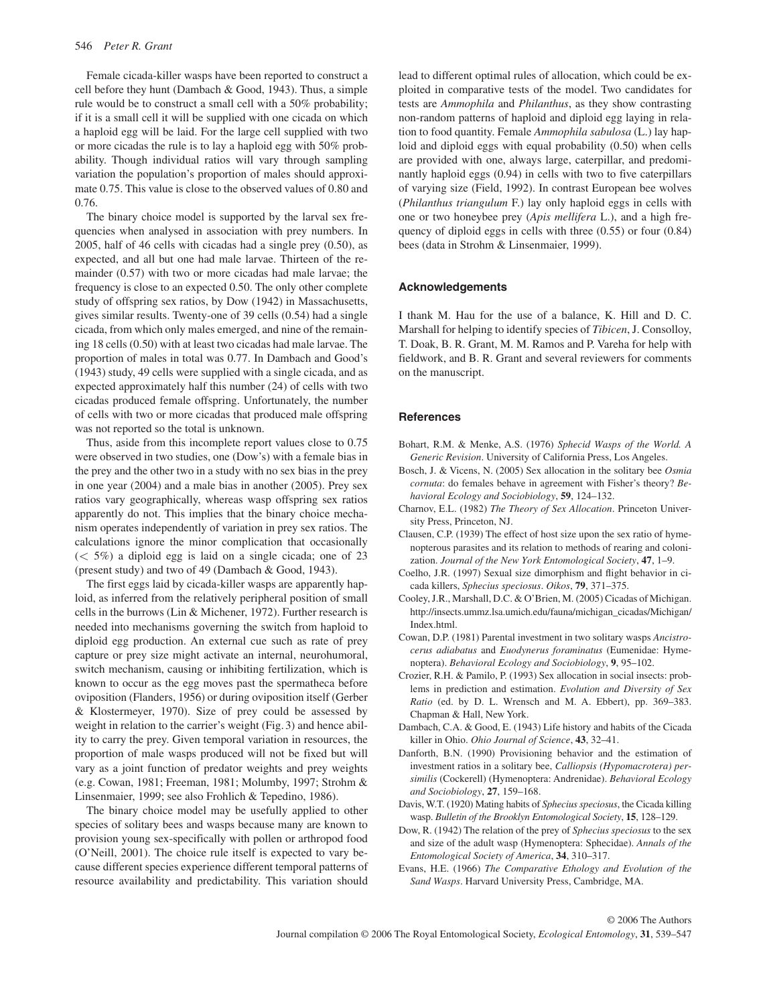Female cicada-killer wasps have been reported to construct a cell before they hunt (Dambach & Good, 1943). Thus, a simple rule would be to construct a small cell with a 50% probability; if it is a small cell it will be supplied with one cicada on which a haploid egg will be laid. For the large cell supplied with two or more cicadas the rule is to lay a haploid egg with 50% probability. Though individual ratios will vary through sampling variation the population's proportion of males should approximate 0.75. This value is close to the observed values of 0.80 and 0.76.

 The binary choice model is supported by the larval sex frequencies when analysed in association with prey numbers. In 2005, half of 46 cells with cicadas had a single prey (0.50), as expected, and all but one had male larvae. Thirteen of the remainder (0.57) with two or more cicadas had male larvae; the frequency is close to an expected 0.50. The only other complete study of offspring sex ratios, by Dow (1942) in Massachusetts, gives similar results. Twenty-one of 39 cells (0.54) had a single cicada, from which only males emerged, and nine of the remaining 18 cells (0.50) with at least two cicadas had male larvae. The proportion of males in total was 0.77. In Dambach and Good's (1943) study, 49 cells were supplied with a single cicada, and as expected approximately half this number (24) of cells with two cicadas produced female offspring. Unfortunately, the number of cells with two or more cicadas that produced male offspring was not reported so the total is unknown.

 Thus, aside from this incomplete report values close to 0.75 were observed in two studies, one (Dow's) with a female bias in the prey and the other two in a study with no sex bias in the prey in one year (2004) and a male bias in another (2005). Prey sex ratios vary geographically, whereas wasp offspring sex ratios apparently do not. This implies that the binary choice mechanism operates independently of variation in prey sex ratios. The calculations ignore the minor complication that occasionally  $(< 5\%)$  a diploid egg is laid on a single cicada; one of 23 (present study) and two of 49 (Dambach & Good, 1943).

 The first eggs laid by cicada-killer wasps are apparently haploid, as inferred from the relatively peripheral position of small cells in the burrows (Lin & Michener, 1972). Further research is needed into mechanisms governing the switch from haploid to diploid egg production. An external cue such as rate of prey capture or prey size might activate an internal, neurohumoral, switch mechanism, causing or inhibiting fertilization, which is known to occur as the egg moves past the spermatheca before oviposition (Flanders, 1956) or during oviposition itself (Gerber  $& Klostermeyer, 1970$ . Size of prey could be assessed by weight in relation to the carrier's weight (Fig. 3) and hence ability to carry the prey. Given temporal variation in resources, the proportion of male wasps produced will not be fixed but will vary as a joint function of predator weights and prey weights (e.g. Cowan, 1981; Freeman, 1981; Molumby, 1997; Strohm & Linsenmaier, 1999; see also Frohlich & Tepedino, 1986).

 The binary choice model may be usefully applied to other species of solitary bees and wasps because many are known to provision young sex-specifically with pollen or arthropod food (O'Neill, 2001). The choice rule itself is expected to vary because different species experience different temporal patterns of resource availability and predictability. This variation should lead to different optimal rules of allocation, which could be exploited in comparative tests of the model. Two candidates for tests are *Ammophila* and *Philanthus* , as they show contrasting non-random patterns of haploid and diploid egg laying in relation to food quantity. Female *Ammophila sabulosa* (L.) lay haploid and diploid eggs with equal probability (0.50) when cells are provided with one, always large, caterpillar, and predominantly haploid eggs (0.94) in cells with two to five caterpillars of varying size ( Field, 1992 ). In contrast European bee wolves ( *Philanthus triangulum* F.) lay only haploid eggs in cells with one or two honeybee prey ( *Apis mellifera* L.), and a high frequency of diploid eggs in cells with three (0.55) or four (0.84) bees (data in Strohm & Linsenmaier, 1999).

# **Acknowledgements**

 I thank M. Hau for the use of a balance, K. Hill and D. C. Marshall for helping to identify species of *Tibicen*, J. Consolloy, T. Doak, B. R. Grant, M. M. Ramos and P. Vareha for help with fieldwork, and B. R. Grant and several reviewers for comments on the manuscript.

# **References**

- Bohart, R.M. & Menke, A.S. (1976) *Sphecid Wasps of the World. A Generic Revision*. University of California Press, Los Angeles.
- Bosch, J. & Vicens, N. (2005) Sex allocation in the solitary bee *Osmia cornuta* : do females behave in agreement with Fisher's theory? *Behavioral Ecology and Sociobiology* , **59** , 124 – 132 .
- Charnov, E.L. (1982) *The Theory of Sex Allocation*. Princeton University Press, Princeton, NJ.
- Clausen, C.P. (1939) The effect of host size upon the sex ratio of hymenopterous parasites and its relation to methods of rearing and colonization. *Journal of the New York Entomological Society*, 47, 1–9.
- Coelho, J.R. (1997) Sexual size dimorphism and flight behavior in cicada killers, *Sphecius speciosus* . *Oikos* , **79** , 371 – 375 .
- Cooley, J.R., Marshall, D.C. & O'Brien, M. (2005) Cicadas of Michigan. http://insects.ummz.lsa.umich.edu/fauna/michigan\_cicadas/Michigan/ Index.html.
- Cowan, D.P. (1981) Parental investment in two solitary wasps *Ancistrocerus adiabatus* and *Euodynerus foraminatus* (Eumenidae: Hymenoptera). *Behavioral Ecology and Sociobiology*, 9, 95-102.
- Crozier, R.H. & Pamilo, P. (1993) Sex allocation in social insects: problems in prediction and estimation . *Evolution and Diversity of Sex Ratio* (ed. by D. L. Wrensch and M. A. Ebbert), pp. 369-383. Chapman & Hall, New York.
- Dambach, C.A. & Good, E. (1943) Life history and habits of the Cicada killer in Ohio. Ohio Journal of Science, 43, 32-41.
- Danforth, B.N. (1990) Provisioning behavior and the estimation of investment ratios in a solitary bee, *Calliopsis (Hypomacrotera) persimilis* (Cockerell) (Hymenoptera: Andrenidae). *Behavioral Ecology and Sociobiology* , **27** , 159 – 168 .
- Davis, W.T. (1920) Mating habits of *Sphecius speciosus*, the Cicada killing wasp. *Bulletin of the Brooklyn Entomological Society*, **15**, 128–129.
- Dow, R. (1942) The relation of the prey of *Sphecius speciosus* to the sex and size of the adult wasp (Hymenoptera: Sphecidae) . *Annals of the*  Entomological Society of America, 34, 310-317.
- Evans, H.E. (1966) *The Comparative Ethology and Evolution of the Sand Wasps* . Harvard University Press, Cambridge, MA .